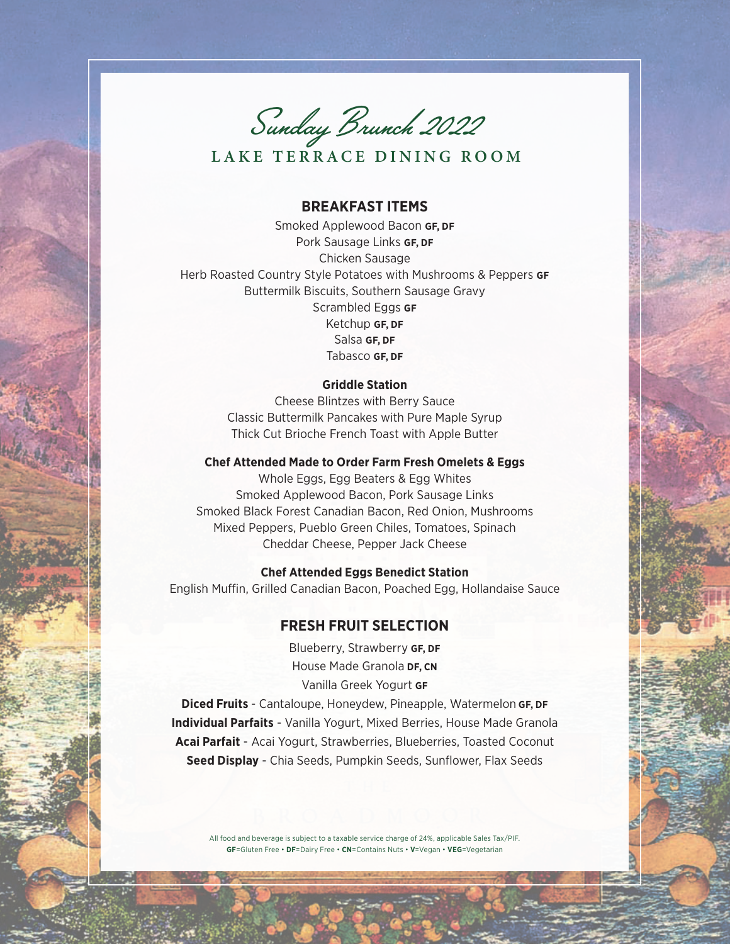*Sunday Brunch 2022*

# **LAKE TERRACE DINING ROOM**

## **BREAKFAST ITEMS**

Smoked Applewood Bacon **GF, DF** Pork Sausage Links **GF, DF** Chicken Sausage Herb Roasted Country Style Potatoes with Mushrooms & Peppers **GF** Buttermilk Biscuits, Southern Sausage Gravy Scrambled Eggs **GF** Ketchup **GF, DF** Salsa **GF, DF** Tabasco **GF, DF**

#### **Griddle Station**

Cheese Blintzes with Berry Sauce Classic Buttermilk Pancakes with Pure Maple Syrup Thick Cut Brioche French Toast with Apple Butter

#### **Chef Attended Made to Order Farm Fresh Omelets & Eggs**

Whole Eggs, Egg Beaters & Egg Whites Smoked Applewood Bacon, Pork Sausage Links Smoked Black Forest Canadian Bacon, Red Onion, Mushrooms Mixed Peppers, Pueblo Green Chiles, Tomatoes, Spinach Cheddar Cheese, Pepper Jack Cheese

#### **Chef Attended Eggs Benedict Station**

English Muffin, Grilled Canadian Bacon, Poached Egg, Hollandaise Sauce

### **FRESH FRUIT SELECTION**

Blueberry, Strawberry **GF, DF** House Made Granola **DF, CN** Vanilla Greek Yogurt **GF**

**Diced Fruits** - Cantaloupe, Honeydew, Pineapple, Watermelon **GF, DF Individual Parfaits** - Vanilla Yogurt, Mixed Berries, House Made Granola **Acai Parfait** - Acai Yogurt, Strawberries, Blueberries, Toasted Coconut **Seed Display** - Chia Seeds, Pumpkin Seeds, Sunflower, Flax Seeds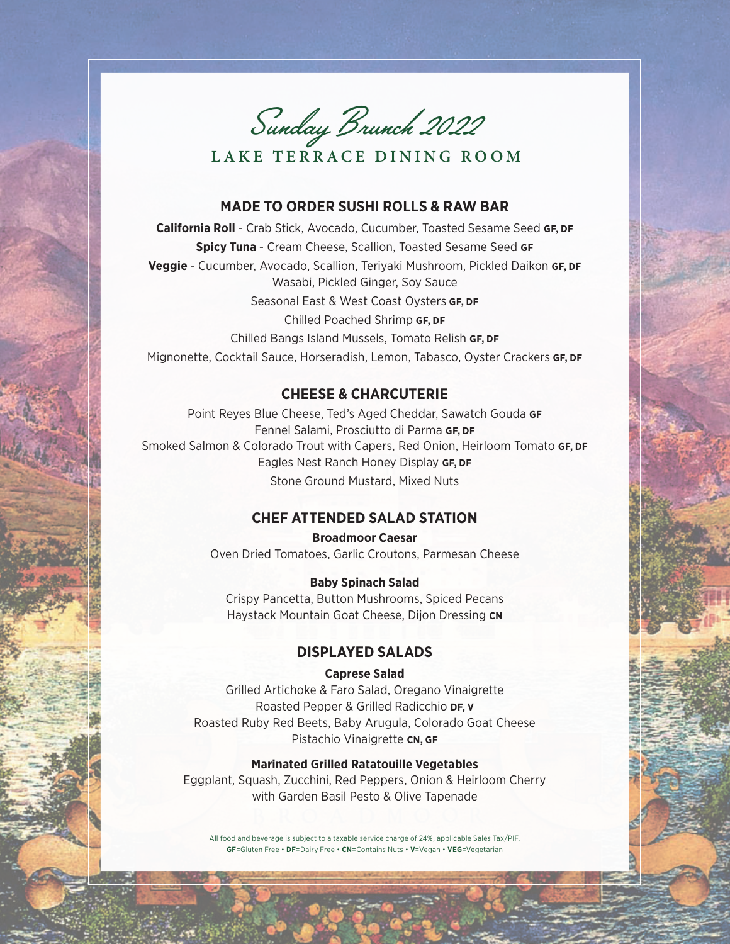**LAKE TERRACE DINING ROOM** *Sunday Brunch 2022*

## **MADE TO ORDER SUSHI ROLLS & RAW BAR**

**California Roll** - Crab Stick, Avocado, Cucumber, Toasted Sesame Seed **GF, DF Spicy Tuna** - Cream Cheese, Scallion, Toasted Sesame Seed **GF Veggie** - Cucumber, Avocado, Scallion, Teriyaki Mushroom, Pickled Daikon **GF, DF** Wasabi, Pickled Ginger, Soy Sauce Seasonal East & West Coast Oysters **GF, DF** Chilled Poached Shrimp **GF, DF** Chilled Bangs Island Mussels, Tomato Relish **GF, DF** Mignonette, Cocktail Sauce, Horseradish, Lemon, Tabasco, Oyster Crackers **GF, DF**

## **CHEESE & CHARCUTERIE**

Point Reyes Blue Cheese, Ted's Aged Cheddar, Sawatch Gouda **GF** Fennel Salami, Prosciutto di Parma **GF, DF** Smoked Salmon & Colorado Trout with Capers, Red Onion, Heirloom Tomato **GF, DF** Eagles Nest Ranch Honey Display **GF, DF** Stone Ground Mustard, Mixed Nuts

## **CHEF ATTENDED SALAD STATION**

**Broadmoor Caesar** Oven Dried Tomatoes, Garlic Croutons, Parmesan Cheese

#### **Baby Spinach Salad**

Crispy Pancetta, Button Mushrooms, Spiced Pecans Haystack Mountain Goat Cheese, Dijon Dressing **CN**

## **DISPLAYED SALADS**

#### **Caprese Salad**

Grilled Artichoke & Faro Salad, Oregano Vinaigrette Roasted Pepper & Grilled Radicchio **DF, V** Roasted Ruby Red Beets, Baby Arugula, Colorado Goat Cheese Pistachio Vinaigrette **CN, GF**

#### **Marinated Grilled Ratatouille Vegetables**

Eggplant, Squash, Zucchini, Red Peppers, Onion & Heirloom Cherry with Garden Basil Pesto & Olive Tapenade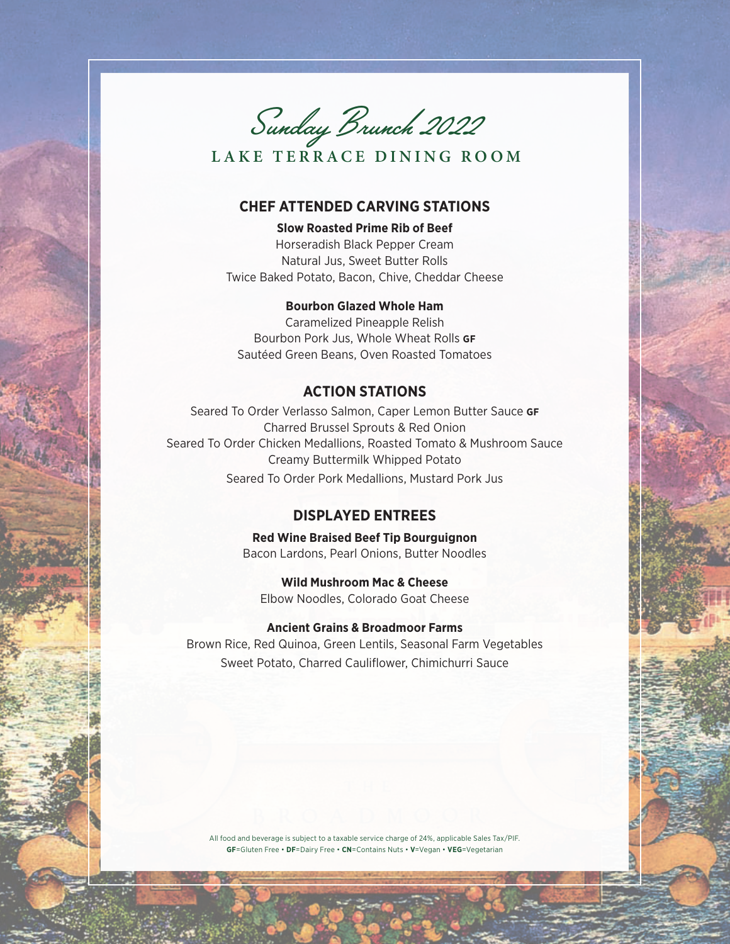*Sunday Brunch 2022*

# **LAKE TERRACE DINING ROOM**

## **CHEF ATTENDED CARVING STATIONS**

**Slow Roasted Prime Rib of Beef** Horseradish Black Pepper Cream Natural Jus, Sweet Butter Rolls Twice Baked Potato, Bacon, Chive, Cheddar Cheese

#### **Bourbon Glazed Whole Ham**

Caramelized Pineapple Relish Bourbon Pork Jus, Whole Wheat Rolls **GF** Sautéed Green Beans, Oven Roasted Tomatoes

## **ACTION STATIONS**

Seared To Order Verlasso Salmon, Caper Lemon Butter Sauce **GF** Charred Brussel Sprouts & Red Onion Seared To Order Chicken Medallions, Roasted Tomato & Mushroom Sauce Creamy Buttermilk Whipped Potato Seared To Order Pork Medallions, Mustard Pork Jus

## **DISPLAYED ENTREES**

**Red Wine Braised Beef Tip Bourguignon** Bacon Lardons, Pearl Onions, Butter Noodles

**Wild Mushroom Mac & Cheese** Elbow Noodles, Colorado Goat Cheese

#### **Ancient Grains & Broadmoor Farms**

Brown Rice, Red Quinoa, Green Lentils, Seasonal Farm Vegetables Sweet Potato, Charred Cauliflower, Chimichurri Sauce